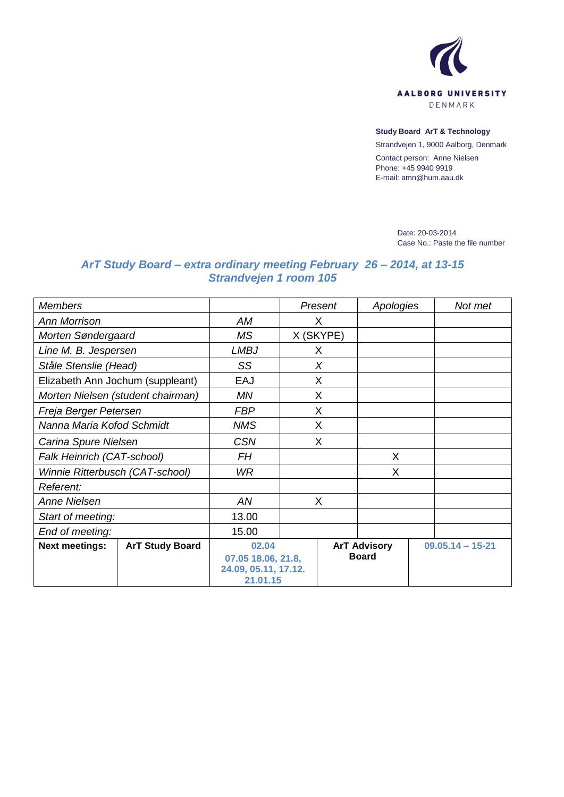

## **Study Board ArT & Technology**

Strandvejen 1, 9000 Aalborg, Denmark Contact person: Anne Nielsen Phone: +45 9940 9919 E-mail: amn@hum.aau.dk

> Date: 20-03-2014 Case No.: Paste the file number

## *ArT Study Board – extra ordinary meeting February 26 – 2014, at 13-15 Strandvejen 1 room 105*

| <b>Members</b>                    |                        |                                            | Present   |              | Apologies           |  | Not met              |  |
|-----------------------------------|------------------------|--------------------------------------------|-----------|--------------|---------------------|--|----------------------|--|
| <b>Ann Morrison</b>               |                        | AM                                         | X         |              |                     |  |                      |  |
| Morten Søndergaard                |                        | <b>MS</b>                                  | X (SKYPE) |              |                     |  |                      |  |
| Line M. B. Jespersen              |                        | <b>LMBJ</b>                                | X         |              |                     |  |                      |  |
| Ståle Stenslie (Head)             |                        | SS                                         | $\chi$    |              |                     |  |                      |  |
| Elizabeth Ann Jochum (suppleant)  |                        | <b>EAJ</b>                                 | X         |              |                     |  |                      |  |
| Morten Nielsen (student chairman) |                        | ΜN                                         | X         |              |                     |  |                      |  |
| Freja Berger Petersen             |                        | <b>FBP</b>                                 | X         |              |                     |  |                      |  |
| Nanna Maria Kofod Schmidt         |                        | <b>NMS</b>                                 | X         |              |                     |  |                      |  |
| Carina Spure Nielsen              |                        | <b>CSN</b>                                 | X         |              |                     |  |                      |  |
| Falk Heinrich (CAT-school)        |                        | FH                                         |           |              | X                   |  |                      |  |
| Winnie Ritterbusch (CAT-school)   |                        | WR.                                        |           |              | X                   |  |                      |  |
| Referent:                         |                        |                                            |           |              |                     |  |                      |  |
| Anne Nielsen                      |                        | AN                                         | X         |              |                     |  |                      |  |
| Start of meeting:                 |                        | 13.00                                      |           |              |                     |  |                      |  |
| End of meeting:                   |                        | 15.00                                      |           |              |                     |  |                      |  |
| <b>Next meetings:</b>             | <b>ArT Study Board</b> | 02.04                                      |           |              | <b>ArT Advisory</b> |  | $09.05.14 - 15 - 21$ |  |
|                                   |                        | 07.05 18.06, 21.8,<br>24.09, 05.11, 17.12. |           | <b>Board</b> |                     |  |                      |  |
|                                   |                        | 21.01.15                                   |           |              |                     |  |                      |  |